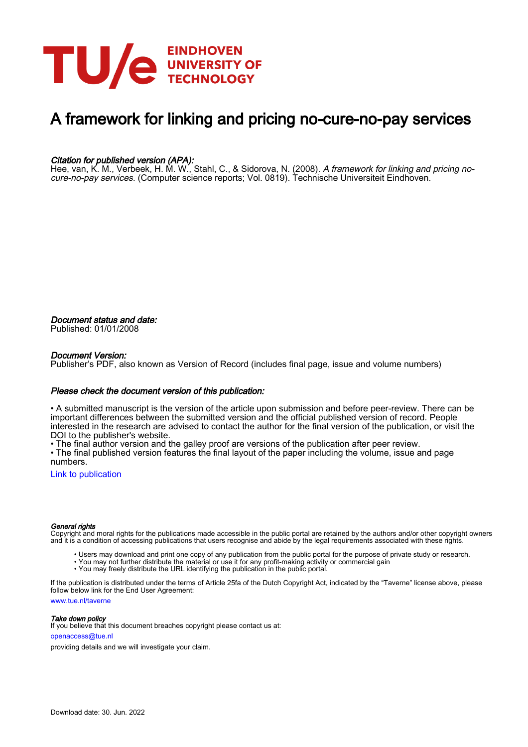

# A framework for linking and pricing no-cure-no-pay services

### Citation for published version (APA):

Hee, van, K. M., Verbeek, H. M. W., Stahl, C., & Sidorova, N. (2008). *A framework for linking and pricing no*cure-no-pay services. (Computer science reports; Vol. 0819). Technische Universiteit Eindhoven.

Document status and date: Published: 01/01/2008

#### Document Version:

Publisher's PDF, also known as Version of Record (includes final page, issue and volume numbers)

#### Please check the document version of this publication:

• A submitted manuscript is the version of the article upon submission and before peer-review. There can be important differences between the submitted version and the official published version of record. People interested in the research are advised to contact the author for the final version of the publication, or visit the DOI to the publisher's website.

• The final author version and the galley proof are versions of the publication after peer review.

• The final published version features the final layout of the paper including the volume, issue and page numbers.

[Link to publication](https://research.tue.nl/en/publications/b72defd8-a095-4596-a427-fe9881976e76)

#### General rights

Copyright and moral rights for the publications made accessible in the public portal are retained by the authors and/or other copyright owners and it is a condition of accessing publications that users recognise and abide by the legal requirements associated with these rights.

- Users may download and print one copy of any publication from the public portal for the purpose of private study or research.
- You may not further distribute the material or use it for any profit-making activity or commercial gain
- You may freely distribute the URL identifying the publication in the public portal.

If the publication is distributed under the terms of Article 25fa of the Dutch Copyright Act, indicated by the "Taverne" license above, please follow below link for the End User Agreement:

www.tue.nl/taverne

**Take down policy**<br>If you believe that this document breaches copyright please contact us at:

openaccess@tue.nl

providing details and we will investigate your claim.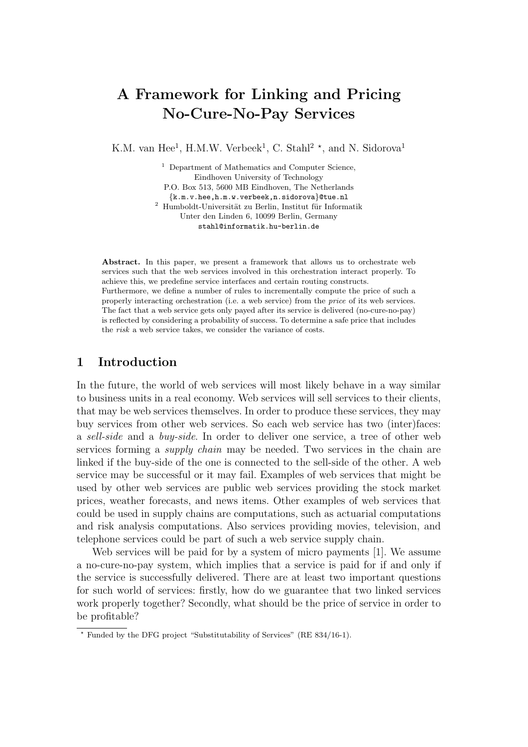# A Framework for Linking and Pricing No-Cure-No-Pay Services

K.M. van Hee<sup>1</sup>, H.M.W. Verbeek<sup>1</sup>, C. Stahl<sup>2</sup><sup>\*</sup>, and N. Sidorova<sup>1</sup>

<sup>1</sup> Department of Mathematics and Computer Science, Eindhoven University of Technology P.O. Box 513, 5600 MB Eindhoven, The Netherlands {k.m.v.hee,h.m.w.verbeek,n.sidorova}@tue.nl  $2$  Humboldt-Universität zu Berlin, Institut für Informatik Unter den Linden 6, 10099 Berlin, Germany stahl@informatik.hu-berlin.de

Abstract. In this paper, we present a framework that allows us to orchestrate web services such that the web services involved in this orchestration interact properly. To achieve this, we predefine service interfaces and certain routing constructs. Furthermore, we define a number of rules to incrementally compute the price of such a properly interacting orchestration (i.e. a web service) from the price of its web services. The fact that a web service gets only payed after its service is delivered (no-cure-no-pay) is reflected by considering a probability of success. To determine a safe price that includes the risk a web service takes, we consider the variance of costs.

### 1 Introduction

In the future, the world of web services will most likely behave in a way similar to business units in a real economy. Web services will sell services to their clients, that may be web services themselves. In order to produce these services, they may buy services from other web services. So each web service has two (inter)faces: a sell-side and a buy-side. In order to deliver one service, a tree of other web services forming a supply chain may be needed. Two services in the chain are linked if the buy-side of the one is connected to the sell-side of the other. A web service may be successful or it may fail. Examples of web services that might be used by other web services are public web services providing the stock market prices, weather forecasts, and news items. Other examples of web services that could be used in supply chains are computations, such as actuarial computations and risk analysis computations. Also services providing movies, television, and telephone services could be part of such a web service supply chain.

Web services will be paid for by a system of micro payments [1]. We assume a no-cure-no-pay system, which implies that a service is paid for if and only if the service is successfully delivered. There are at least two important questions for such world of services: firstly, how do we guarantee that two linked services work properly together? Secondly, what should be the price of service in order to be profitable?

<sup>?</sup> Funded by the DFG project "Substitutability of Services" (RE 834/16-1).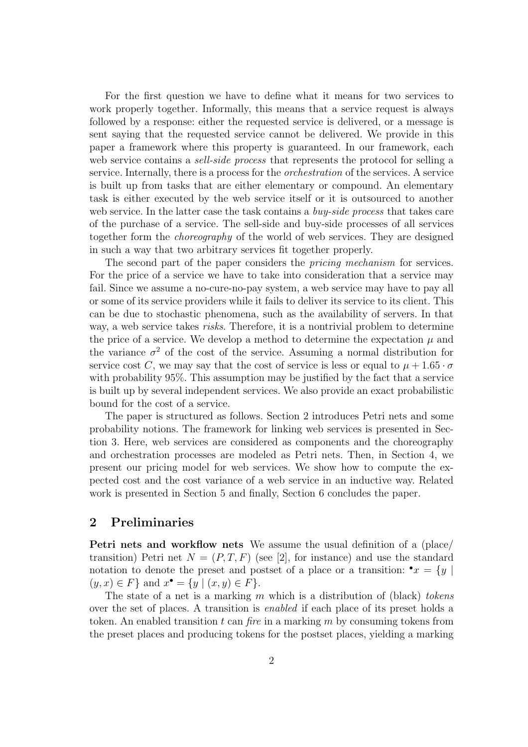For the first question we have to define what it means for two services to work properly together. Informally, this means that a service request is always followed by a response: either the requested service is delivered, or a message is sent saying that the requested service cannot be delivered. We provide in this paper a framework where this property is guaranteed. In our framework, each web service contains a *sell-side process* that represents the protocol for selling a service. Internally, there is a process for the orchestration of the services. A service is built up from tasks that are either elementary or compound. An elementary task is either executed by the web service itself or it is outsourced to another web service. In the latter case the task contains a *buy-side process* that takes care of the purchase of a service. The sell-side and buy-side processes of all services together form the choreography of the world of web services. They are designed in such a way that two arbitrary services fit together properly.

The second part of the paper considers the *pricing mechanism* for services. For the price of a service we have to take into consideration that a service may fail. Since we assume a no-cure-no-pay system, a web service may have to pay all or some of its service providers while it fails to deliver its service to its client. This can be due to stochastic phenomena, such as the availability of servers. In that way, a web service takes *risks*. Therefore, it is a nontrivial problem to determine the price of a service. We develop a method to determine the expectation  $\mu$  and the variance  $\sigma^2$  of the cost of the service. Assuming a normal distribution for service cost C, we may say that the cost of service is less or equal to  $\mu + 1.65 \cdot \sigma$ with probability 95%. This assumption may be justified by the fact that a service is built up by several independent services. We also provide an exact probabilistic bound for the cost of a service.

The paper is structured as follows. Section 2 introduces Petri nets and some probability notions. The framework for linking web services is presented in Section 3. Here, web services are considered as components and the choreography and orchestration processes are modeled as Petri nets. Then, in Section 4, we present our pricing model for web services. We show how to compute the expected cost and the cost variance of a web service in an inductive way. Related work is presented in Section 5 and finally, Section 6 concludes the paper.

## 2 Preliminaries

Petri nets and workflow nets We assume the usual definition of a (place/ transition) Petri net  $N = (P, T, F)$  (see [2], for instance) and use the standard notation to denote the preset and postset of a place or a transition:  $\mathbf{v} = \{y \mid$  $(y, x) \in F$  and  $x^{\bullet} = \{y \mid (x, y) \in F\}.$ 

The state of a net is a marking  $m$  which is a distribution of (black) tokens over the set of places. A transition is enabled if each place of its preset holds a token. An enabled transition t can fire in a marking m by consuming tokens from the preset places and producing tokens for the postset places, yielding a marking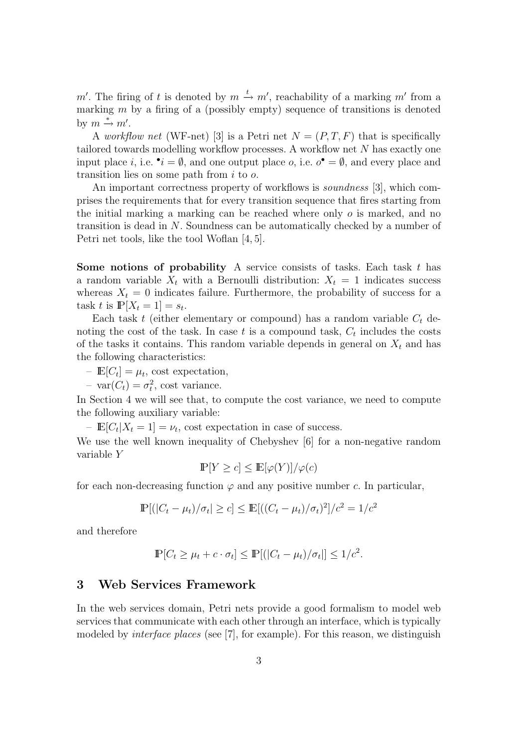m'. The firing of t is denoted by  $m \stackrel{t}{\rightarrow} m'$ , reachability of a marking m' from a marking  $m$  by a firing of a (possibly empty) sequence of transitions is denoted by  $m \stackrel{*}{\rightarrow} m'$ .

A workflow net (WF-net) [3] is a Petri net  $N = (P, T, F)$  that is specifically tailored towards modelling workflow processes. A workflow net N has exactly one input place *i*, i.e.  $\cdot i = \emptyset$ , and one output place *o*, i.e.  $o^{\bullet} = \emptyset$ , and every place and transition lies on some path from  $i$  to  $o$ .

An important correctness property of workflows is *soundness* [3], which comprises the requirements that for every transition sequence that fires starting from the initial marking a marking can be reached where only  $\sigma$  is marked, and no transition is dead in N. Soundness can be automatically checked by a number of Petri net tools, like the tool Woflan [4, 5].

**Some notions of probability** A service consists of tasks. Each task  $t$  has a random variable  $X_t$  with a Bernoulli distribution:  $X_t = 1$  indicates success whereas  $X_t = 0$  indicates failure. Furthermore, the probability of success for a task t is  $\mathbb{P}[X_t = 1] = s_t$ .

Each task t (either elementary or compound) has a random variable  $C_t$  denoting the cost of the task. In case  $t$  is a compound task,  $C_t$  includes the costs of the tasks it contains. This random variable depends in general on  $X_t$  and has the following characteristics:

 $\mathbb{E}[C_t] = \mu_t$ , cost expectation,

 $- \text{ var}(C_t) = \sigma_t^2$ , cost variance.

In Section 4 we will see that, to compute the cost variance, we need to compute the following auxiliary variable:

 $-\mathbb{E}[C_t|X_t=1]=\nu_t$ , cost expectation in case of success.

We use the well known inequality of Chebyshev [6] for a non-negative random variable Y

$$
\mathbb{P}[Y \ge c] \le \mathbb{E}[\varphi(Y)]/\varphi(c)
$$

for each non-decreasing function  $\varphi$  and any positive number c. In particular,

$$
\mathbb{P}[(|C_t - \mu_t)/\sigma_t| \ge c] \le \mathbb{E}[((C_t - \mu_t)/\sigma_t)^2]/c^2 = 1/c^2
$$

and therefore

$$
\mathbb{P}[C_t \ge \mu_t + c \cdot \sigma_t] \le \mathbb{P}[(|C_t - \mu_t)/\sigma_t|] \le 1/c^2.
$$

### 3 Web Services Framework

In the web services domain, Petri nets provide a good formalism to model web services that communicate with each other through an interface, which is typically modeled by interface places (see [7], for example). For this reason, we distinguish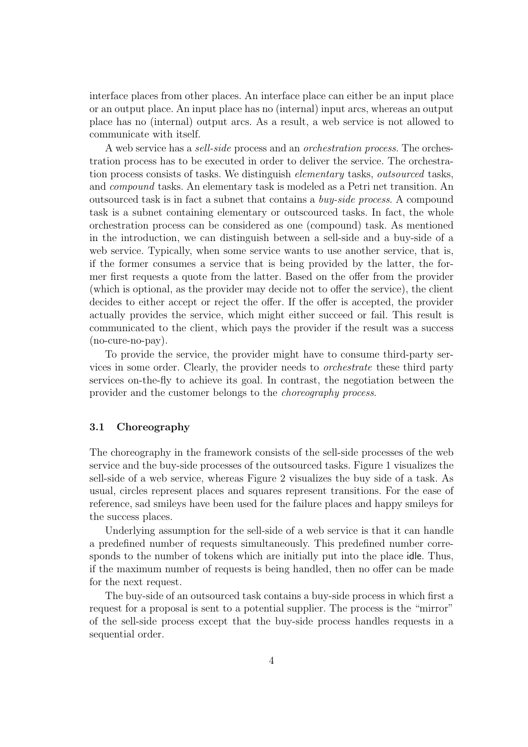interface places from other places. An interface place can either be an input place or an output place. An input place has no (internal) input arcs, whereas an output place has no (internal) output arcs. As a result, a web service is not allowed to communicate with itself.

A web service has a sell-side process and an orchestration process. The orchestration process has to be executed in order to deliver the service. The orchestration process consists of tasks. We distinguish elementary tasks, outsourced tasks, and compound tasks. An elementary task is modeled as a Petri net transition. An outsourced task is in fact a subnet that contains a buy-side process. A compound task is a subnet containing elementary or outscourced tasks. In fact, the whole orchestration process can be considered as one (compound) task. As mentioned in the introduction, we can distinguish between a sell-side and a buy-side of a web service. Typically, when some service wants to use another service, that is, if the former consumes a service that is being provided by the latter, the former first requests a quote from the latter. Based on the offer from the provider (which is optional, as the provider may decide not to offer the service), the client decides to either accept or reject the offer. If the offer is accepted, the provider actually provides the service, which might either succeed or fail. This result is communicated to the client, which pays the provider if the result was a success (no-cure-no-pay).

To provide the service, the provider might have to consume third-party services in some order. Clearly, the provider needs to orchestrate these third party services on-the-fly to achieve its goal. In contrast, the negotiation between the provider and the customer belongs to the choreography process.

### 3.1 Choreography

The choreography in the framework consists of the sell-side processes of the web service and the buy-side processes of the outsourced tasks. Figure 1 visualizes the sell-side of a web service, whereas Figure 2 visualizes the buy side of a task. As usual, circles represent places and squares represent transitions. For the ease of reference, sad smileys have been used for the failure places and happy smileys for the success places.

Underlying assumption for the sell-side of a web service is that it can handle a predefined number of requests simultaneously. This predefined number corresponds to the number of tokens which are initially put into the place idle. Thus, if the maximum number of requests is being handled, then no offer can be made for the next request.

The buy-side of an outsourced task contains a buy-side process in which first a request for a proposal is sent to a potential supplier. The process is the "mirror" of the sell-side process except that the buy-side process handles requests in a sequential order.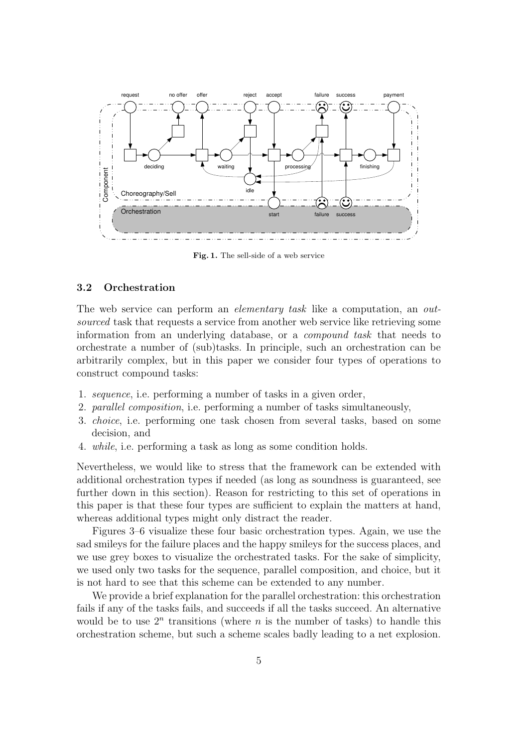

Fig. 1. The sell-side of a web service

### 3.2 Orchestration

The web service can perform an *elementary task* like a computation, an *out*sourced task that requests a service from another web service like retrieving some information from an underlying database, or a compound task that needs to orchestrate a number of (sub)tasks. In principle, such an orchestration can be arbitrarily complex, but in this paper we consider four types of operations to construct compound tasks:

- 1. sequence, i.e. performing a number of tasks in a given order,
- 2. parallel composition, i.e. performing a number of tasks simultaneously,
- 3. choice, i.e. performing one task chosen from several tasks, based on some decision, and
- 4. while, i.e. performing a task as long as some condition holds.

Nevertheless, we would like to stress that the framework can be extended with additional orchestration types if needed (as long as soundness is guaranteed, see further down in this section). Reason for restricting to this set of operations in this paper is that these four types are sufficient to explain the matters at hand, whereas additional types might only distract the reader.

Figures 3–6 visualize these four basic orchestration types. Again, we use the sad smileys for the failure places and the happy smileys for the success places, and we use grey boxes to visualize the orchestrated tasks. For the sake of simplicity, we used only two tasks for the sequence, parallel composition, and choice, but it is not hard to see that this scheme can be extended to any number.

We provide a brief explanation for the parallel orchestration: this orchestration fails if any of the tasks fails, and succeeds if all the tasks succeed. An alternative would be to use  $2^n$  transitions (where *n* is the number of tasks) to handle this orchestration scheme, but such a scheme scales badly leading to a net explosion.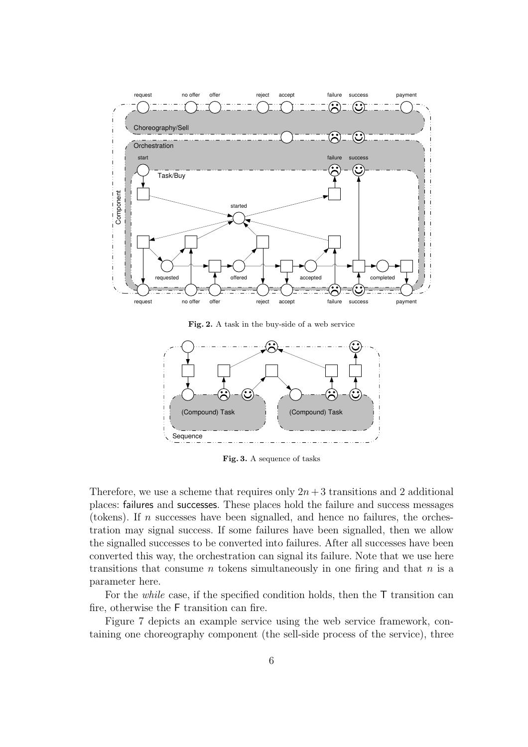

Fig. 2. A task in the buy-side of a web service



Fig. 3. A sequence of tasks

Therefore, we use a scheme that requires only  $2n+3$  transitions and 2 additional places: failures and successes. These places hold the failure and success messages (tokens). If  $n$  successes have been signalled, and hence no failures, the orchestration may signal success. If some failures have been signalled, then we allow the signalled successes to be converted into failures. After all successes have been converted this way, the orchestration can signal its failure. Note that we use here transitions that consume  $n$  tokens simultaneously in one firing and that  $n$  is a parameter here.

For the *while* case, if the specified condition holds, then the  $\mathsf{T}$  transition can fire, otherwise the F transition can fire.

Figure 7 depicts an example service using the web service framework, containing one choreography component (the sell-side process of the service), three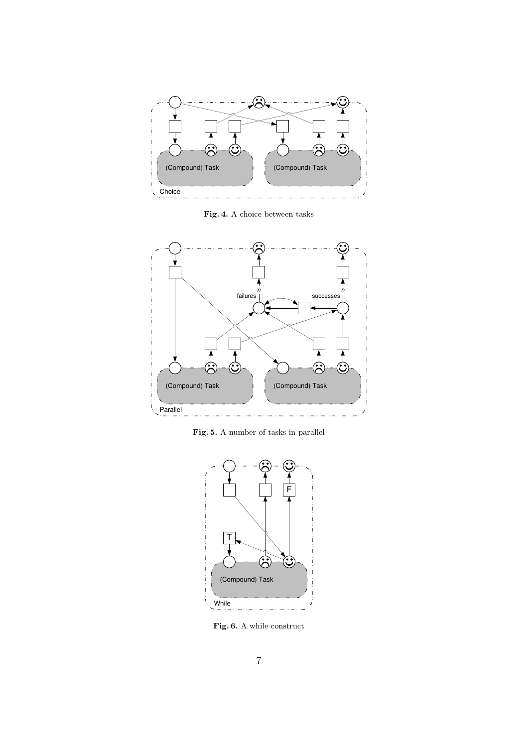

Fig. 4. A choice between tasks



Fig. 5. A number of tasks in parallel



Fig. 6. A while construct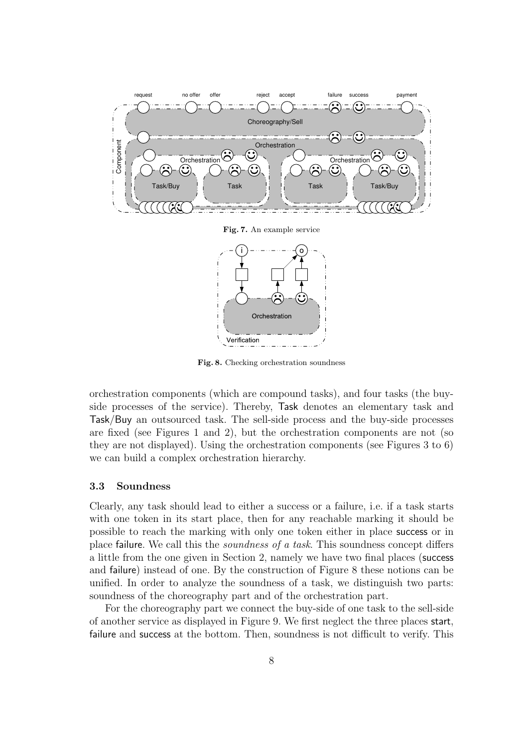

Fig. 7. An example service



Fig. 8. Checking orchestration soundness

orchestration components (which are compound tasks), and four tasks (the buyside processes of the service). Thereby, Task denotes an elementary task and Task/Buy an outsourced task. The sell-side process and the buy-side processes are fixed (see Figures 1 and 2), but the orchestration components are not (so they are not displayed). Using the orchestration components (see Figures 3 to 6) we can build a complex orchestration hierarchy.

### 3.3 Soundness

Clearly, any task should lead to either a success or a failure, i.e. if a task starts with one token in its start place, then for any reachable marking it should be possible to reach the marking with only one token either in place success or in place failure. We call this the soundness of a task. This soundness concept differs a little from the one given in Section 2, namely we have two final places (success and failure) instead of one. By the construction of Figure 8 these notions can be unified. In order to analyze the soundness of a task, we distinguish two parts: soundness of the choreography part and of the orchestration part.

For the choreography part we connect the buy-side of one task to the sell-side of another service as displayed in Figure 9. We first neglect the three places start, failure and success at the bottom. Then, soundness is not difficult to verify. This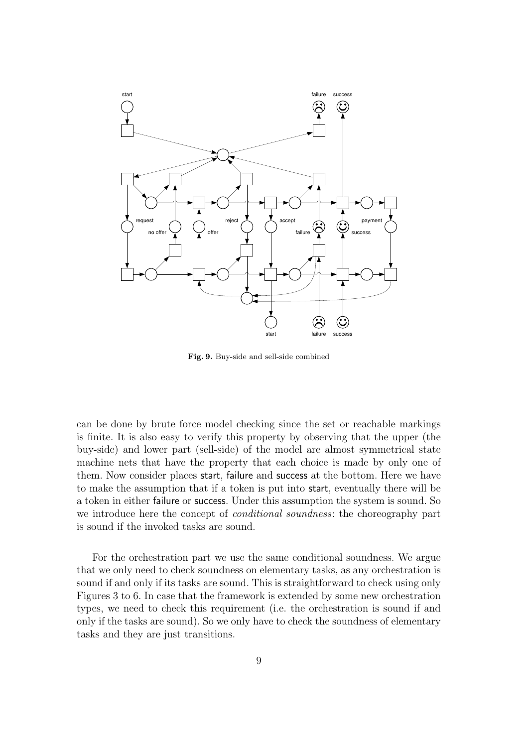

Fig. 9. Buy-side and sell-side combined

can be done by brute force model checking since the set or reachable markings is finite. It is also easy to verify this property by observing that the upper (the buy-side) and lower part (sell-side) of the model are almost symmetrical state machine nets that have the property that each choice is made by only one of them. Now consider places start, failure and success at the bottom. Here we have to make the assumption that if a token is put into start, eventually there will be a token in either failure or success. Under this assumption the system is sound. So we introduce here the concept of *conditional soundness*: the choreography part is sound if the invoked tasks are sound.

For the orchestration part we use the same conditional soundness. We argue that we only need to check soundness on elementary tasks, as any orchestration is sound if and only if its tasks are sound. This is straightforward to check using only Figures 3 to 6. In case that the framework is extended by some new orchestration types, we need to check this requirement (i.e. the orchestration is sound if and only if the tasks are sound). So we only have to check the soundness of elementary tasks and they are just transitions.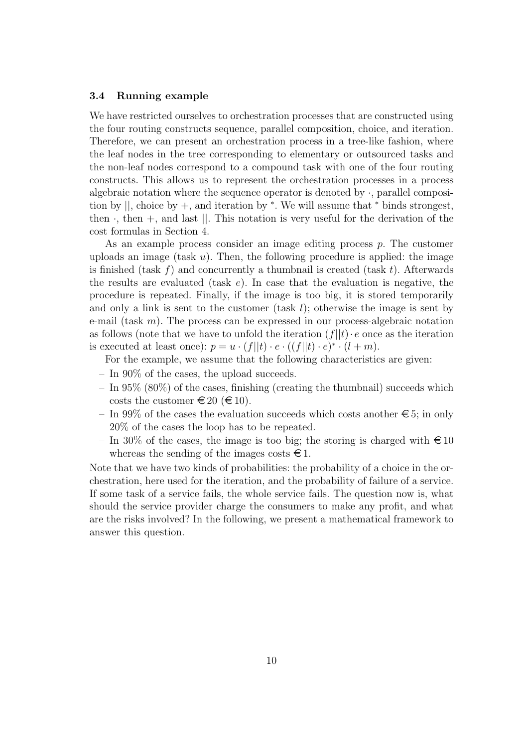### 3.4 Running example

We have restricted ourselves to orchestration processes that are constructed using the four routing constructs sequence, parallel composition, choice, and iteration. Therefore, we can present an orchestration process in a tree-like fashion, where the leaf nodes in the tree corresponding to elementary or outsourced tasks and the non-leaf nodes correspond to a compound task with one of the four routing constructs. This allows us to represent the orchestration processes in a process algebraic notation where the sequence operator is denoted by  $\cdot$ , parallel composition by  $\parallel$ , choice by  $+$ , and iteration by  $*$ . We will assume that  $*$  binds strongest, then  $\cdot$ , then  $+$ , and last ||. This notation is very useful for the derivation of the cost formulas in Section 4.

As an example process consider an image editing process  $p$ . The customer uploads an image (task  $u$ ). Then, the following procedure is applied: the image is finished (task  $f$ ) and concurrently a thumbnail is created (task  $t$ ). Afterwards the results are evaluated (task  $e$ ). In case that the evaluation is negative, the procedure is repeated. Finally, if the image is too big, it is stored temporarily and only a link is sent to the customer (task  $l$ ); otherwise the image is sent by e-mail (task  $m$ ). The process can be expressed in our process-algebraic notation as follows (note that we have to unfold the iteration  $(f||t) \cdot e$  once as the iteration is executed at least once):  $p = u \cdot (f||t) \cdot e \cdot ((f||t) \cdot e)^* \cdot (l+m)$ .

For the example, we assume that the following characteristics are given:

- In 90% of the cases, the upload succeeds.
- In 95% (80%) of the cases, finishing (creating the thumbnail) succeeds which costs the customer  $\in 20 \ (\in 10)$ .
- In 99% of the cases the evaluation succeeds which costs another  $\epsilon$  5; in only 20% of the cases the loop has to be repeated.
- In 30% of the cases, the image is too big; the storing is charged with  $\epsilon \neq 10$ whereas the sending of the images costs  $\in$  1.

Note that we have two kinds of probabilities: the probability of a choice in the orchestration, here used for the iteration, and the probability of failure of a service. If some task of a service fails, the whole service fails. The question now is, what should the service provider charge the consumers to make any profit, and what are the risks involved? In the following, we present a mathematical framework to answer this question.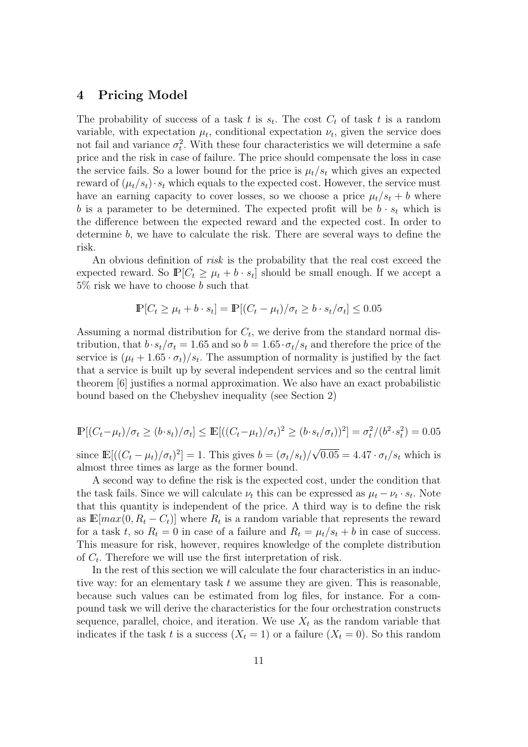### 4 Pricing Model

The probability of success of a task t is  $s_t$ . The cost  $C_t$  of task t is a random variable, with expectation  $\mu_t$ , conditional expectation  $\nu_t$ , given the service does not fail and variance  $\sigma_t^2$ . With these four characteristics we will determine a safe price and the risk in case of failure. The price should compensate the loss in case the service fails. So a lower bound for the price is  $\mu_t/s_t$  which gives an expected reward of  $(\mu_t/s_t) \cdot s_t$  which equals to the expected cost. However, the service must have an earning capacity to cover losses, so we choose a price  $\mu_t/s_t + b$  where b is a parameter to be determined. The expected profit will be  $b \cdot s_t$  which is the difference between the expected reward and the expected cost. In order to determine b, we have to calculate the risk. There are several ways to define the risk.

An obvious definition of *risk* is the probability that the real cost exceed the expected reward. So  $\mathbb{P}[C_t \geq \mu_t + b \cdot s_t]$  should be small enough. If we accept a 5% risk we have to choose b such that

$$
\mathbb{P}[C_t \ge \mu_t + b \cdot s_t] = \mathbb{P}[(C_t - \mu_t)/\sigma_t \ge b \cdot s_t/\sigma_t] \le 0.05
$$

Assuming a normal distribution for  $C_t$ , we derive from the standard normal distribution, that  $b \cdot s_t/\sigma_t = 1.65$  and so  $b = 1.65 \cdot \sigma_t/s_t$  and therefore the price of the service is  $(\mu_t + 1.65 \cdot \sigma_t)/s_t$ . The assumption of normality is justified by the fact that a service is built up by several independent services and so the central limit theorem [6] justifies a normal approximation. We also have an exact probabilistic bound based on the Chebyshev inequality (see Section 2)

$$
\mathbb{P}[(C_t - \mu_t)/\sigma_t \ge (b \cdot s_t)/\sigma_t] \le \mathbb{E}[((C_t - \mu_t)/\sigma_t)^2 \ge (b \cdot s_t/\sigma_t))^2] = \sigma_t^2/(b^2 \cdot s_t^2) = 0.05
$$

since  $\mathbb{E}[((C_t - \mu_t)/\sigma_t)^2] = 1$ . This gives  $b = (\sigma_t/s_t)/\sigma_t^2$ √  $\overline{0.05} = 4.47 \cdot \sigma_t / s_t$  which is almost three times as large as the former bound.

A second way to define the risk is the expected cost, under the condition that the task fails. Since we will calculate  $\nu_t$  this can be expressed as  $\mu_t - \nu_t \cdot s_t$ . Note that this quantity is independent of the price. A third way is to define the risk as  $\mathbb{E}[max(0, R_t - C_t)]$  where  $R_t$  is a random variable that represents the reward for a task t, so  $R_t = 0$  in case of a failure and  $R_t = \mu_t/s_t + b$  in case of success. This measure for risk, however, requires knowledge of the complete distribution of  $C_t$ . Therefore we will use the first interpretation of risk.

In the rest of this section we will calculate the four characteristics in an inductive way: for an elementary task t we assume they are given. This is reasonable, because such values can be estimated from log files, for instance. For a compound task we will derive the characteristics for the four orchestration constructs sequence, parallel, choice, and iteration. We use  $X_t$  as the random variable that indicates if the task t is a success  $(X_t = 1)$  or a failure  $(X_t = 0)$ . So this random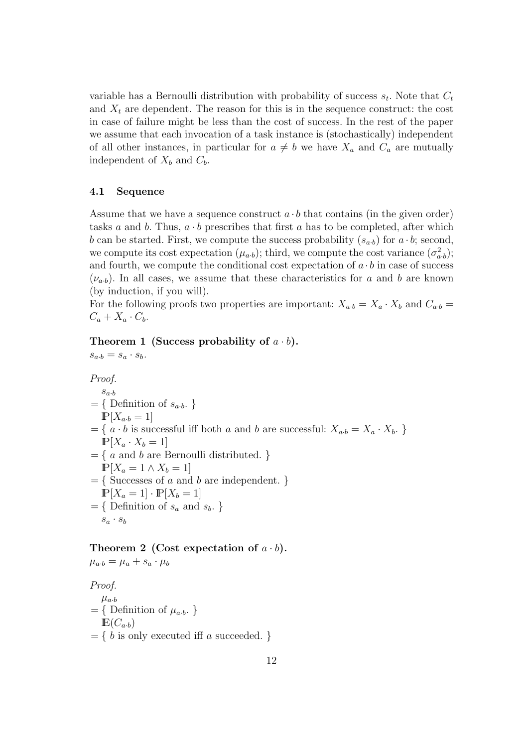variable has a Bernoulli distribution with probability of success  $s_t$ . Note that  $C_t$ and  $X_t$  are dependent. The reason for this is in the sequence construct: the cost in case of failure might be less than the cost of success. In the rest of the paper we assume that each invocation of a task instance is (stochastically) independent of all other instances, in particular for  $a \neq b$  we have  $X_a$  and  $C_a$  are mutually independent of  $X_b$  and  $C_b$ .

### 4.1 Sequence

 $s_{a \cdot b} = s_a \cdot s_b.$ 

Assume that we have a sequence construct  $a \cdot b$  that contains (in the given order) tasks a and b. Thus,  $a \cdot b$  prescribes that first a has to be completed, after which b can be started. First, we compute the success probability  $(s_{a,b})$  for  $a \cdot b$ ; second, we compute its cost expectation  $(\mu_{a,b})$ ; third, we compute the cost variance  $(\sigma_{a,b}^2)$ ; and fourth, we compute the conditional cost expectation of  $a \cdot b$  in case of success  $(\nu_{a,b})$ . In all cases, we assume that these characteristics for a and b are known (by induction, if you will).

For the following proofs two properties are important:  $X_{a,b} = X_a \cdot X_b$  and  $C_{a,b} =$  $C_a + X_a \cdot C_b$ .

### Theorem 1 (Success probability of  $a \cdot b$ ).

*Proof.*  
\n
$$
s_{a,b}
$$
\n
$$
= \{ \text{Definition of } s_{a,b}. \}
$$
\n
$$
P[X_{a,b} = 1]
$$
\n
$$
= \{ a \cdot b \text{ is successful iff both } a \text{ and } b \text{ are successful: } X_{a,b} = X_a \cdot X_b. \}
$$
\n
$$
P[X_a \cdot X_b = 1]
$$
\n
$$
= \{ a \text{ and } b \text{ are Bernoulli distributed. } \}
$$
\n
$$
P[X_a = 1 \land X_b = 1]
$$
\n
$$
= \{ \text{Successes of } a \text{ and } b \text{ are independent. } \}
$$
\n
$$
P[X_a = 1] \cdot P[X_b = 1]
$$
\n
$$
= \{ \text{Definition of } s_a \text{ and } s_b. \}
$$
\n
$$
s_a \cdot s_b
$$

# Theorem 2 (Cost expectation of  $a \cdot b$ ).

 $\mu_{a\cdot b} = \mu_a + s_a \cdot \mu_b$ 

Proof.  $\mu_{a\cdot b}$  $=\{$  Definition of  $\mu_{a\cdot b}$ .  $\}$  $\mathbb{E}(C_{a\cdot b})$  $=\{ b \text{ is only executed iff } a \text{ succeeded.} \}$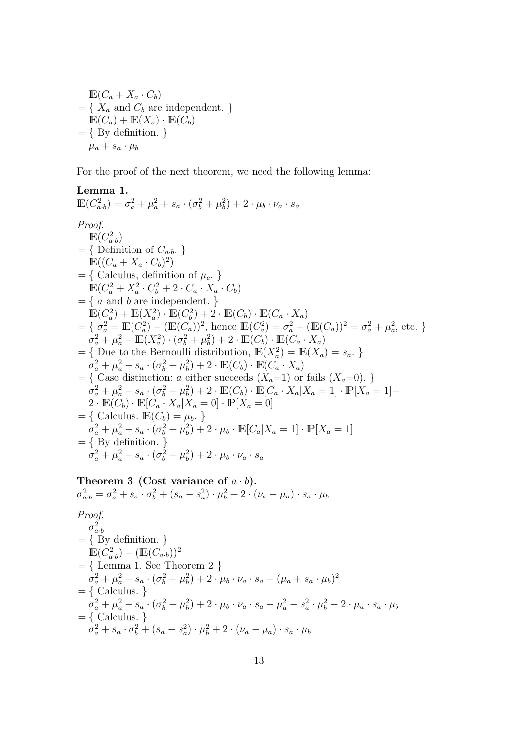$$
\mathbb{E}(C_a + X_a \cdot C_b)
$$
  
= { X\_a and C\_b are independent. }  

$$
\mathbb{E}(C_a) + \mathbb{E}(X_a) \cdot \mathbb{E}(C_b)
$$
  
= { By definition. }  

$$
\mu_a + s_a \cdot \mu_b
$$

For the proof of the next theorem, we need the following lemma:

**Lemma 1.**  
\n
$$
\mathbb{E}(C_{a\cdot b}^2) = \sigma_a^2 + \mu_a^2 + s_a \cdot (\sigma_b^2 + \mu_b^2) + 2 \cdot \mu_b \cdot \nu_a \cdot s_a
$$
\n*Proof.*  
\n
$$
\mathbb{E}(C_{a\cdot b}^2)
$$
\n
$$
= \{ \text{ Definition of } C_{a\cdot b} \cdot \}
$$
\n
$$
\mathbb{E}((C_a + X_a \cdot C_b)^2)
$$
\n
$$
= \{ \text{ Calculus, definition of } \mu_c \cdot \}
$$
\n
$$
\mathbb{E}(C_a^2 + X_a^2 \cdot C_b^2 + 2 \cdot C_a \cdot X_a \cdot C_b)
$$
\n
$$
= \{ \text{ } a \text{ and } b \text{ are independent. } \}
$$
\n
$$
\mathbb{E}(C_a^2) + \mathbb{E}(X_a^2) \cdot \mathbb{E}(C_b^2) + 2 \cdot \mathbb{E}(C_b) \cdot \mathbb{E}(C_a \cdot X_a)
$$
\n
$$
= \{ \sigma_a^2 = \mathbb{E}(C_a^2) - (\mathbb{E}(C_a))^2, \text{ hence } \mathbb{E}(C_a^2) = \sigma_a^2 + (\mathbb{E}(C_a))^2 = \sigma_a^2 + \mu_a^2, \text{ etc. } \}
$$
\n
$$
\sigma_a^2 + \mu_a^2 + \mathbb{E}(X_a^2) \cdot (\sigma_b^2 + \mu_b^2) + 2 \cdot \mathbb{E}(C_b) \cdot \mathbb{E}(C_a \cdot X_a)
$$
\n
$$
= \{ \text{ Due to the Bernoulli distribution, } \mathbb{E}(X_a^2) = \mathbb{E}(X_a) = s_a. \}
$$
\n
$$
\sigma_a^2 + \mu_a^2 + s_a \cdot (\sigma_b^2 + \mu_b^2) + 2 \cdot \mathbb{E}(C_b) \cdot \mathbb{E}(C_a \cdot X_a)
$$
\n
$$
= \{ \text{Case distinction: } a \text{ either succeeds } (X_a=1) \text{ or fails } (X_a=0). \}
$$
\n
$$
\sigma_a^2 + \mu_a^2 + s_a \cdot (\sigma_b^2 + \mu_b^2) + 2 \cdot \mathbb{E}(C_b) \cdot \mathbb{E}[C_a \cdot X_a | X_a = 1] \cdot \mathbb{P}[X_a = 1] + 2
$$

Theorem 3 (Cost variance of  $a \cdot b$ ).  $\sigma_{a \cdot b}^{2} = \sigma_{a}^{2} + s_{a} \cdot \sigma_{b}^{2} + (s_{a} - s_{a}^{2}) \cdot \mu_{b}^{2} + 2 \cdot (\nu_{a} - \mu_{a}) \cdot s_{a} \cdot \mu_{b}$ 

Proof.  
\n
$$
\sigma_{a,b}^2
$$
\n= { By definition. }  
\n
$$
E(C_{a,b}^2) - (E(C_{a,b}))^2
$$
\n= { Lemma 1. See Theorem 2 }  
\n
$$
\sigma_a^2 + \mu_a^2 + s_a \cdot (\sigma_b^2 + \mu_b^2) + 2 \cdot \mu_b \cdot \nu_a \cdot s_a - (\mu_a + s_a \cdot \mu_b)^2
$$
\n= { Calculus. }  
\n
$$
\sigma_a^2 + \mu_a^2 + s_a \cdot (\sigma_b^2 + \mu_b^2) + 2 \cdot \mu_b \cdot \nu_a \cdot s_a - \mu_a^2 - s_a^2 \cdot \mu_b^2 - 2 \cdot \mu_a \cdot s_a \cdot \mu_b
$$
\n= { Calculus. }  
\n
$$
\sigma_a^2 + s_a \cdot \sigma_b^2 + (s_a - s_a^2) \cdot \mu_b^2 + 2 \cdot (\nu_a - \mu_a) \cdot s_a \cdot \mu_b
$$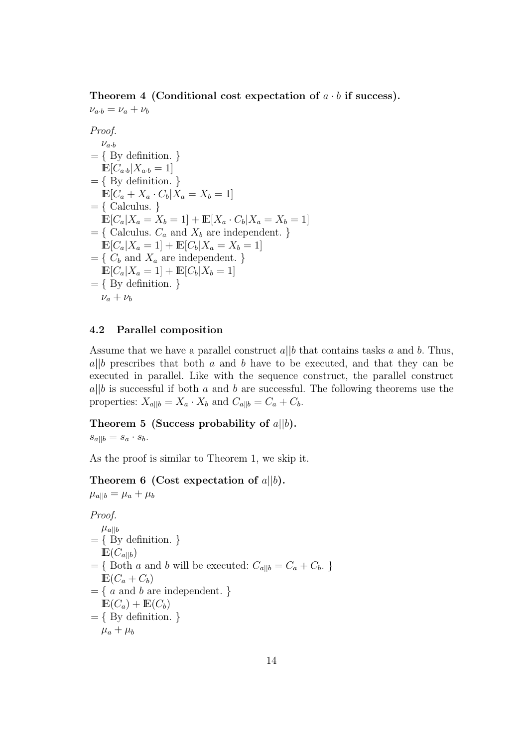# Theorem 4 (Conditional cost expectation of  $a \cdot b$  if success).

Proof.  $\nu_{a \cdot b}$  $= \{ By definition. \}$  $\mathbb{E}[C_{a\cdot b}|X_{a\cdot b}=1]$  $= \{ By definition. \}$  $\mathbb{E}[C_a + X_a \cdot C_b | X_a = X_b = 1]$  $=\{$  Calculus.  $\}$  $\mathbb{E}[C_a|X_a = X_b = 1] + \mathbb{E}[X_a \cdot C_b|X_a = X_b = 1]$  $=\{$  Calculus.  $C_a$  and  $X_b$  are independent.  $\}$  $\mathbb{E}[C_a|X_a = 1] + \mathbb{E}[C_b|X_a = X_b = 1]$  $=\{ C_b \text{ and } X_a \text{ are independent. } \}$  $\mathbb{E}[C_a|X_a = 1] + \mathbb{E}[C_b|X_b = 1]$  $= \{$  By definition.  $\}$  $\nu_a + \nu_b$ 

### 4.2 Parallel composition

Assume that we have a parallel construct  $a||b$  that contains tasks a and b. Thus,  $a||b$  prescribes that both a and b have to be executed, and that they can be executed in parallel. Like with the sequence construct, the parallel construct  $a||b$  is successful if both a and b are successful. The following theorems use the properties:  $X_{a||b} = X_a \cdot X_b$  and  $C_{a||b} = C_a + C_b$ .

### Theorem 5 (Success probability of  $a||b$ ).

 $s_{a||b} = s_a \cdot s_b.$ 

 $\nu_{a\cdot b} = \nu_a + \nu_b$ 

As the proof is similar to Theorem 1, we skip it.

### Theorem 6 (Cost expectation of  $a||b$ ).

 $\mu_{a||b} = \mu_a + \mu_b$ 

*Proof.*  
\n
$$
\mu_{a||b}
$$
\n
$$
= \{ \text{ By definition. } \}
$$
\n
$$
E(C_{a||b})
$$
\n
$$
= \{ \text{ Both } a \text{ and } b \text{ will be executed: } C_{a||b} = C_a + C_b. \}
$$
\n
$$
E(C_a + C_b)
$$
\n
$$
= \{ \text{ a and } b \text{ are independent. } \}
$$
\n
$$
E(C_a) + E(C_b)
$$
\n
$$
= \{ \text{ By definition. } \}
$$
\n
$$
\mu_a + \mu_b
$$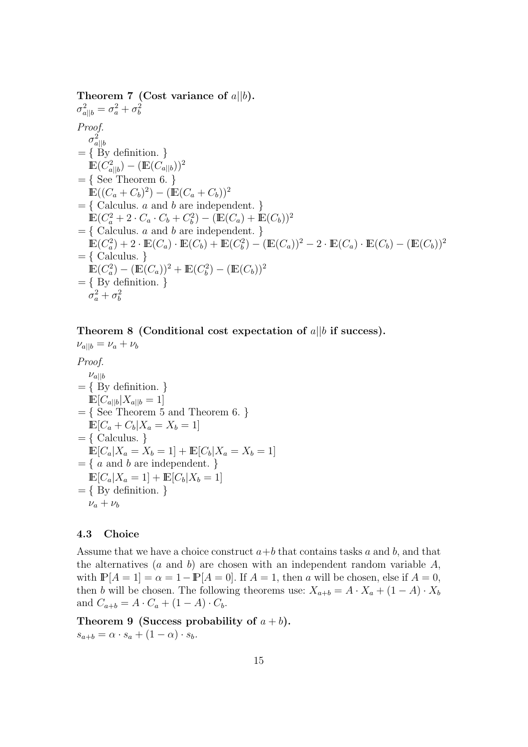Theorem 7 (Cost variance of 
$$
a||b
$$
).  
\n
$$
\sigma_{a||b}^2 = \sigma_a^2 + \sigma_b^2
$$
\n*Proof.*  
\n
$$
\sigma_{a||b}^2
$$
\n= { By definition. }  
\n
$$
E(C_{a||b}^2) - (E(C_{a||b}))^2
$$
\n= { See Theorem 6. }  
\n
$$
E((C_a + C_b)^2) - (E(C_a + C_b))^2
$$
\n= { Calculus.  $a$  and  $b$  are independent. }  
\n
$$
E(C_a^2 + 2 \cdot C_a \cdot C_b + C_b^2) - (E(C_a) + E(C_b))^2
$$
\n= { Calculus.  $a$  and  $b$  are independent. }  
\n
$$
E(C_a^2) + 2 \cdot E(C_a) \cdot E(C_b) + E(C_b^2) - (E(C_a))^2 - 2 \cdot E(C_a) \cdot E(C_b) - (E(C_b))^2
$$
\n= { Calculus. }  
\n
$$
E(C_a^2) - (E(C_a))^2 + E(C_b^2) - (E(C_b))^2
$$
\n= { By definition. }

Theorem 8 (Conditional cost expectation of  $a||b$  if success).

$$
\nu_{a||b} = \nu_a + \nu_b
$$
  
\nProof.  
\n
$$
\nu_{a||b}
$$
  
\n
$$
= \{ By definition. \}
$$
  
\n
$$
E[C_{a||b}|X_{a||b} = 1]
$$
  
\n
$$
= \{ See Theorem 5 and Theorem 6. \}
$$
  
\n
$$
E[C_a + C_b|X_a = X_b = 1]
$$
  
\n
$$
= \{ Calculates; \}
$$
  
\n
$$
E[C_a|X_a = X_b = 1] + E[C_b|X_a = X_b = 1]
$$
  
\n
$$
= \{ a \text{ and } b \text{ are independent. } \}
$$
  
\n
$$
E[C_a|X_a = 1] + E[C_b|X_b = 1]
$$
  
\n
$$
= \{ By definition. \}
$$

### 4.3 Choice

Assume that we have a choice construct  $a+b$  that contains tasks a and b, and that the alternatives  $(a \text{ and } b)$  are chosen with an independent random variable  $A$ , with  $\mathbb{P}[A=1] = \alpha = 1 - \mathbb{P}[A=0]$ . If  $A=1$ , then a will be chosen, else if  $A=0$ , then b will be chosen. The following theorems use:  $X_{a+b} = A \cdot X_a + (1 - A) \cdot X_b$ and  $C_{a+b} = A \cdot C_a + (1-A) \cdot C_b$ .

Theorem 9 (Success probability of  $a + b$ ).  $s_{a+b} = \alpha \cdot s_a + (1-\alpha) \cdot s_b.$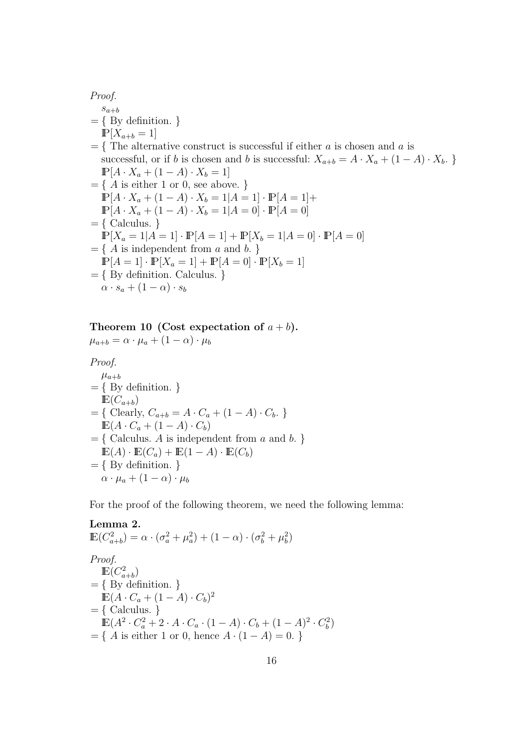### Proof.

 $s_{a+b}$  $= \{ By definition. \}$  $\mathbb{P}[X_{a+b} = 1]$  $=$  { The alternative construct is successful if either a is chosen and a is successful, or if b is chosen and b is successful:  $X_{a+b} = A \cdot X_a + (1-A) \cdot X_b$ .  $\mathbb{P}[A \cdot X_a + (1-A) \cdot X_b = 1]$  $=\{ A$  is either 1 or 0, see above. }  $\mathbb{P}[A \cdot X_a + (1-A) \cdot X_b = 1 | A = 1] \cdot \mathbb{P}[A = 1] +$  $\mathbb{P}[A \cdot X_a + (1-A) \cdot X_b = 1 | A = 0] \cdot \mathbb{P}[A = 0]$  $=\{$  Calculus.  $\}$  $\mathbb{P}[X_a = 1 | A = 1] \cdot \mathbb{P}[A = 1] + \mathbb{P}[X_b = 1 | A = 0] \cdot \mathbb{P}[A = 0]$  $=\{ A$  is independent from a and b.  $\}$  $\mathbb{P}[A=1] \cdot \mathbb{P}[X_a=1] + \mathbb{P}[A=0] \cdot \mathbb{P}[X_b=1]$  $=\{ By definition. Calculus. \}$  $\alpha \cdot s_a + (1 - \alpha) \cdot s_b$ 

# Theorem 10 (Cost expectation of  $a + b$ ).

 $\mu_{a+b} = \alpha \cdot \mu_a + (1-\alpha) \cdot \mu_b$ Proof.  $\mu_{a+b}$  $= \{ By definition. \}$  $\mathbb{E}(C_{a+b})$  $=\{$  Clearly,  $C_{a+b} = A \cdot C_a + (1-A) \cdot C_b. \}$  $\mathbb{E}(A \cdot C_a + (1-A) \cdot C_b)$  $=\{$  Calculus. A is independent from a and b.  $\}$  $\mathbb{E}(A) \cdot \mathbb{E}(C_a) + \mathbb{E}(1-A) \cdot \mathbb{E}(C_b)$  $=\{$  By definition.  $\}$  $\alpha \cdot \mu_a + (1 - \alpha) \cdot \mu_b$ 

For the proof of the following theorem, we need the following lemma:

### Lemma 2.

 $\mathbb{E}(C_{a+b}^2) = \alpha \cdot (\sigma_a^2 + \mu_a^2) + (1 - \alpha) \cdot (\sigma_b^2 + \mu_b^2)$ Proof.  $\mathbb{E}(C_{a+b}^2)$  $= \{ By definition. \}$  $\mathbb{E}(A \cdot C_a + (1-A) \cdot C_b)^2$  $=\{$  Calculus.  $\}$  $\mathbb{E}(A^2 \cdot C_a^2 + 2 \cdot A \cdot C_a \cdot (1 - A) \cdot C_b + (1 - A)^2 \cdot C_b^2)$  $=\{ A \text{ is either } 1 \text{ or } 0, \text{ hence } A \cdot (1 - A) = 0. \}$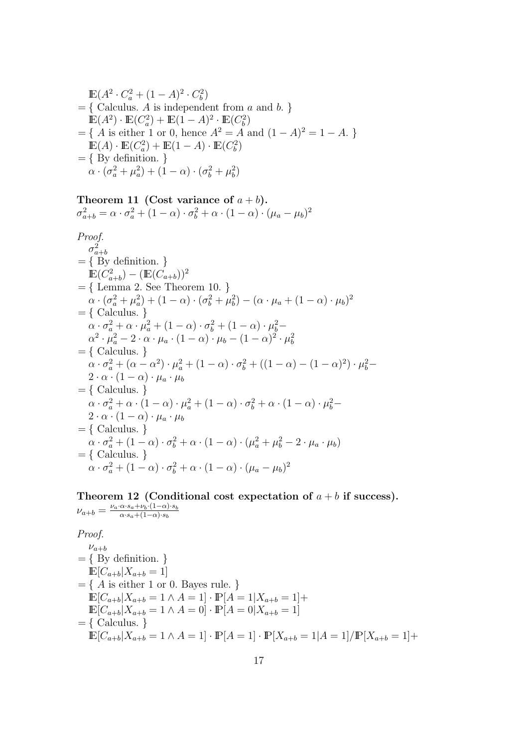$$
\mathbb{E}(A^2 \cdot C_a^2 + (1 - A)^2 \cdot C_b^2)
$$
\n
$$
= \{ \text{ Calculus. } A \text{ is independent from } a \text{ and } b. \}
$$
\n
$$
\mathbb{E}(A^2) \cdot \mathbb{E}(C_a^2) + \mathbb{E}(1 - A)^2 \cdot \mathbb{E}(C_b^2)
$$
\n
$$
= \{ A \text{ is either 1 or 0, hence } A^2 = A \text{ and } (1 - A)^2 = 1 - A. \}
$$
\n
$$
\mathbb{E}(A) \cdot \mathbb{E}(C_a^2) + \mathbb{E}(1 - A) \cdot \mathbb{E}(C_b^2)
$$
\n
$$
= \{ \text{By definition. } \}
$$
\n
$$
\alpha \cdot (\sigma_a^2 + \mu_a^2) + (1 - \alpha) \cdot (\sigma_b^2 + \mu_b^2)
$$

Theorem 11 (Cost variance of  $a + b$ ).  $\sigma_{a+b}^2 = \alpha \cdot \sigma_a^2 + (1 - \alpha) \cdot \sigma_b^2 + \alpha \cdot (1 - \alpha) \cdot (\mu_a - \mu_b)^2$ 

Proof.  
\n
$$
\sigma_{a+b}^2 = \{ \text{ By definition. } \}
$$
\n
$$
E(C_{a+b}^2) - (E(C_{a+b}))^2
$$
\n
$$
= \{ \text{ Lemma 2. See Theorem 10. } \}
$$
\n
$$
\alpha \cdot (\sigma_a^2 + \mu_a^2) + (1 - \alpha) \cdot (\sigma_b^2 + \mu_b^2) - (\alpha \cdot \mu_a + (1 - \alpha) \cdot \mu_b)^2
$$
\n
$$
= \{ \text{ Calculus. } \}
$$
\n
$$
\alpha \cdot \sigma_a^2 + \alpha \cdot \mu_a^2 + (1 - \alpha) \cdot \sigma_b^2 + (1 - \alpha) \cdot \mu_b^2 -
$$
\n
$$
\alpha^2 \cdot \mu_a^2 - 2 \cdot \alpha \cdot \mu_a \cdot (1 - \alpha) \cdot \mu_b - (1 - \alpha)^2 \cdot \mu_b^2
$$
\n
$$
= \{ \text{ Calculus. } \}
$$
\n
$$
\alpha \cdot \sigma_a^2 + (\alpha - \alpha^2) \cdot \mu_a^2 + (1 - \alpha) \cdot \sigma_b^2 + ((1 - \alpha) - (1 - \alpha)^2) \cdot \mu_b^2 -
$$
\n
$$
2 \cdot \alpha \cdot (1 - \alpha) \cdot \mu_a \cdot \mu_b
$$
\n
$$
= \{ \text{ Calculus. } \}
$$
\n
$$
\alpha \cdot \sigma_a^2 + \alpha \cdot (1 - \alpha) \cdot \mu_a^2 + (1 - \alpha) \cdot \sigma_b^2 + \alpha \cdot (1 - \alpha) \cdot \mu_b^2 -
$$
\n
$$
2 \cdot \alpha \cdot (1 - \alpha) \cdot \mu_a \cdot \mu_b
$$
\n
$$
= \{ \text{ Calculus. } \}
$$
\n
$$
\alpha \cdot \sigma_a^2 + (1 - \alpha) \cdot \sigma_b^2 + \alpha \cdot (1 - \alpha) \cdot (\mu_a^2 + \mu_b^2 - 2 \cdot \mu_a \cdot \mu_b)
$$
\n
$$
= \{ \text{ Calculus. } \}
$$
\n
$$
\alpha \cdot \sigma_a^2 + (1 - \alpha) \cdot \sigma_b^2 + \alpha \cdot (1 - \alpha) \cdot (\mu_a - \mu_b)^2
$$

Theorem 12 (Conditional cost expectation of  $a + b$  if success).  $\nu_{a+b} = \frac{\nu_a \cdot \alpha \cdot s_a + \nu_b \cdot (1-\alpha) \cdot s_b}{\alpha \cdot s_a + (1-\alpha) \cdot s_b}$  $\alpha \cdot s_a + (1-\alpha) \cdot s_b$ 

*Proof.*  
\n
$$
\nu_{a+b}
$$
\n
$$
= \{ \text{ By definition. } \}
$$
\n
$$
E[C_{a+b} | X_{a+b} = 1]
$$
\n
$$
= \{ A \text{ is either 1 or 0. Bayes rule. } \}
$$
\n
$$
E[C_{a+b} | X_{a+b} = 1 \land A = 1] \cdot P[A = 1 | X_{a+b} = 1] +
$$
\n
$$
E[C_{a+b} | X_{a+b} = 1 \land A = 0] \cdot P[A = 0 | X_{a+b} = 1]
$$
\n
$$
= \{ \text{ Calculus. } \}
$$
\n
$$
E[C_{a+b} | X_{a+b} = 1 \land A = 1] \cdot P[A = 1] \cdot P[X_{a+b} = 1 | A = 1] / P[X_{a+b} = 1] +
$$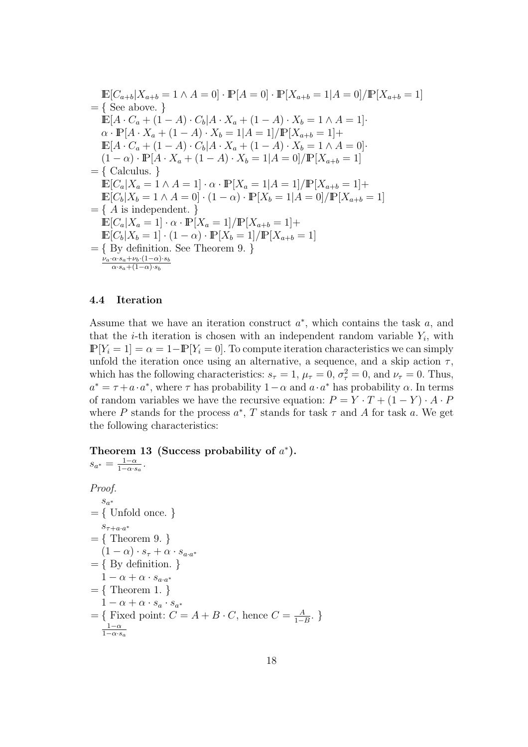$$
\mathbb{E}[C_{a+b}|X_{a+b} = 1 \land A = 0] \cdot \mathbb{P}[A = 0] \cdot \mathbb{P}[X_{a+b} = 1 | A = 0] / \mathbb{P}[X_{a+b} = 1]
$$
\n
$$
= \{ \text{ See above. } \}
$$
\n
$$
\mathbb{E}[A \cdot C_a + (1 - A) \cdot C_b | A \cdot X_a + (1 - A) \cdot X_b = 1 \land A = 1] \cdot \alpha \cdot \mathbb{P}[A \cdot X_a + (1 - A) \cdot X_b = 1 | A = 1] / \mathbb{P}[X_{a+b} = 1] + \mathbb{E}[A \cdot C_a + (1 - A) \cdot C_b | A \cdot X_a + (1 - A) \cdot X_b = 1 \land A = 0] \cdot \alpha \cdot \alpha \cdot \mathbb{P}[A \cdot X_a + (1 - A) \cdot X_b = 1 | A = 0] / \mathbb{P}[X_{a+b} = 1]
$$
\n
$$
= \{ \text{ Calculus. } \}
$$
\n
$$
\mathbb{E}[C_a | X_a = 1 \land A = 1] \cdot \alpha \cdot \mathbb{P}[X_a = 1 | A = 1] / \mathbb{P}[X_{a+b} = 1] + \mathbb{E}[C_b | X_b = 1 \land A = 0] \cdot (1 - \alpha) \cdot \mathbb{P}[X_b = 1 | A = 0] / \mathbb{P}[X_{a+b} = 1]
$$
\n
$$
= \{ \text{ A is independent. } \}
$$
\n
$$
\mathbb{E}[C_a | X_a = 1] \cdot \alpha \cdot \mathbb{P}[X_a = 1] / \mathbb{P}[X_{a+b} = 1] + \mathbb{E}[C_b | X_b = 1] \cdot (1 - \alpha) \cdot \mathbb{P}[X_b = 1] / \mathbb{P}[X_{a+b} = 1]
$$
\n
$$
= \{ \text{By definition. See Theorem 9. } \}
$$

### 4.4 Iteration

Assume that we have an iteration construct  $a^*$ , which contains the task  $a$ , and that the *i*-th iteration is chosen with an independent random variable  $Y_i$ , with  $\mathbb{P}[Y_i = 1] = \alpha = 1 - \mathbb{P}[Y_i = 0].$  To compute iteration characteristics we can simply unfold the iteration once using an alternative, a sequence, and a skip action  $\tau$ , which has the following characteristics:  $s_{\tau} = 1$ ,  $\mu_{\tau} = 0$ ,  $\sigma_{\tau}^2 = 0$ , and  $\nu_{\tau} = 0$ . Thus,  $a^* = \tau + a \cdot a^*$ , where  $\tau$  has probability  $1 - \alpha$  and  $a \cdot a^*$  has probability  $\alpha$ . In terms of random variables we have the recursive equation:  $P = Y \cdot T + (1 - Y) \cdot A \cdot P$ where P stands for the process  $a^*$ , T stands for task  $\tau$  and A for task a. We get the following characteristics:

Theorem 13 (Success probability of  $a^*$ ).

$$
s_{a^*} = \frac{1-\alpha}{1-\alpha \cdot s_a}.
$$
  
\nProof.  
\n
$$
s_{a^*}
$$
  
\n
$$
= \{ \text{ Unfold once. } \}
$$
  
\n
$$
s_{\tau+a\cdot a^*}
$$
  
\n
$$
= \{ \text{ Theorem 9. } \}
$$
  
\n
$$
(1-\alpha) \cdot s_{\tau} + \alpha \cdot s_{a\cdot a^*}
$$
  
\n
$$
= \{ \text{ By definition. } \}
$$
  
\n
$$
1-\alpha + \alpha \cdot s_{a\cdot a^*}
$$
  
\n
$$
= \{ \text{ Theorem 1. } \}
$$
  
\n
$$
1-\alpha + \alpha \cdot s_a \cdot s_{a^*}
$$
  
\n
$$
= \{ \text{ Fixed point: } C = A + B \cdot C, \text{ hence } C = \frac{A}{1-B}. \}
$$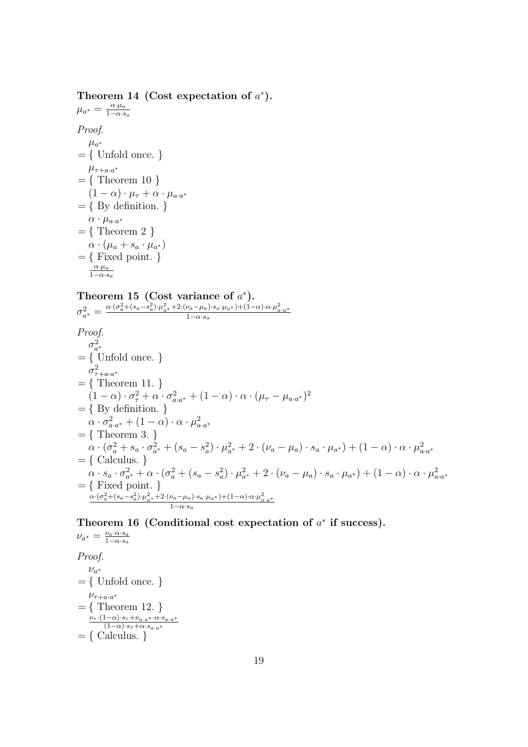### Theorem 14 (Cost expectation of  $a^*$ ).

 $\mu_{a^*} = \frac{\alpha \cdot \mu_a}{1 - \alpha \cdot s}$  $1-\alpha \cdot s_a$ Proof.  $\mu_{a^*}$  $=\{$  Unfold once.  $\}$  $\mu_{\tau+a\cdot a^*}$  $=\{$  Theorem 10  $\}$  $(1-\alpha)\cdot\mu_{\tau}+\alpha\cdot\mu_{a\cdot a^*}$  $=\{$  By definition.  $\}$  $\alpha \cdot \mu_{a \cdot a^*}$  $= \{$  Theorem 2  $\}$  $\alpha \cdot (\mu_a + s_a \cdot \mu_{a^*})$  $= \{$  Fixed point.  $\}$  $\alpha \cdot \mu_a$  $1-\alpha \cdot s_a$ 

### Theorem 15 (Cost variance of  $a^*$ ).

 $\sigma_{a^*}^2 = \frac{\alpha\cdot(\sigma_a^2 + (s_a-s_a^2)\cdot\mu_{a^*}^2 + 2\cdot(\nu_a-\mu_a)\cdot s_a\cdot\mu_{a^*}) + (1-\alpha)\cdot\alpha\cdot\mu_{a\cdot a^*}^2}{1-\alpha\cdot s_a}$ Proof.  $\sigma^2_{a^*}$  $=\{$  Unfold once.  $\}$  $\sigma^2_{\tau+a\cdot a^*}$  $=\{$  Theorem 11.  $\}$  $(1-\alpha)\cdot \sigma_{\tau}^2 + \alpha \cdot \sigma_{a\cdot a^*}^2 + (1-\alpha)\cdot \alpha \cdot (\mu_{\tau} - \mu_{a\cdot a^*})^2$  $= \{ By definition. \}$  $\alpha \cdot \sigma_{a \cdot a^*}^2 + (1 - \alpha) \cdot \alpha \cdot \mu_{a \cdot a^*}^2$  $= \{$  Theorem 3.  $\}$  $\alpha \cdot (\sigma_a^2 + s_a \cdot \sigma_{a^*}^2 + (s_a - s_a^2) \cdot \mu_{a^*}^2 + 2 \cdot (\nu_a - \mu_a) \cdot s_a \cdot \mu_{a^*}) + (1 - \alpha) \cdot \alpha \cdot \mu_{a \cdot a^*}^2$  $=\{$  Calculus.  $\}$  $\alpha \cdot s_a \cdot \sigma_{a^*}^2 + \alpha \cdot (\sigma_a^2 + (s_a - s_a^2) \cdot \mu_{a^*}^2 + 2 \cdot (\nu_a - \mu_a) \cdot s_a \cdot \mu_{a^*}) + (1 - \alpha) \cdot \alpha \cdot \mu_{a \cdot a^*}^2$  $= \{$  Fixed point.  $\}$  $\frac{\alpha \cdot (\sigma_a^2 + (s_a - s_a^2) \cdot \mu_{a^*}^2 + 2 \cdot (\nu_a - \mu_a) \cdot s_a \cdot \mu_{a^*}) + (1 - \alpha) \cdot \alpha \cdot \mu_{a \cdot a^*}^2}{1 - \alpha \cdot s_a}$ 

#### Theorem 16 (Conditional cost expectation of  $a^*$  if success).  $\nu_{a^*} = \frac{\nu_a \cdot \alpha \cdot s_a}{1 - \alpha \cdot s_a}$  $1-\alpha \cdot s_a$

Proof.  $\nu_{a^*}$  $=\{$  Unfold once.  $\}$  $\nu_{\tau+a\cdot a^*}$  $=\{$  Theorem 12.  $\}$  $\nu_{\tau} \cdot (1-\alpha) \cdot s_{\tau} + \nu_{a \cdot a^*} \cdot \alpha \cdot s_{a \cdot a^*}$  $\overline{(1-\alpha)\cdot s_\tau + \alpha \cdot s_{a\cdot a^*}}$  $=\{$  Calculus.  $\}$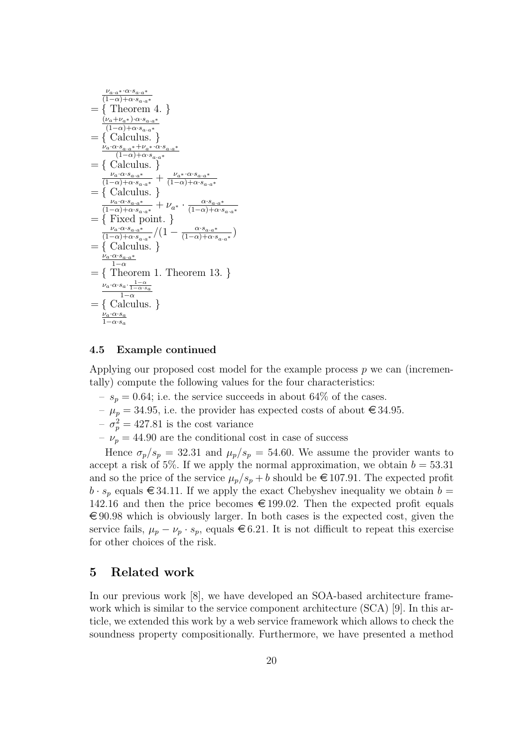$$
\frac{\frac{\nu_{a\cdot a^*} \cdot \alpha \cdot s_{a\cdot a^*}}{(1-\alpha)+\alpha \cdot s_{a\cdot a^*}}}{\left(\frac{\nu_a+\nu_{a^*}\right) \cdot \alpha \cdot s_{a\cdot a^*}}{(1-\alpha)+\alpha \cdot s_{a\cdot a^*}}}
$$
\n=\n
$$
\left\{\n \begin{array}{l}\n \text{Calculus.} \\
\frac{\nu_a \cdot \alpha \cdot s_{a\cdot a^*}+\nu_{a^*} \cdot \alpha \cdot s_{a\cdot a^*}}{(1-\alpha)+\alpha \cdot s_{a\cdot a^*}} \\
\frac{\nu_a \cdot \alpha \cdot s_{a\cdot a^*}+\nu_{a^*} \cdot \alpha \cdot s_{a\cdot a^*}}{(1-\alpha)+\alpha \cdot s_{a\cdot a^*}} \\
\frac{\nu_a \cdot \alpha \cdot s_{a\cdot a^*}}{(1-\alpha)+\alpha \cdot s_{a\cdot a^*}}+\frac{\nu_{a^*} \cdot \alpha \cdot s_{a\cdot a^*}}{(1-\alpha)+\alpha \cdot s_{a\cdot a^*}} \\
\frac{\nu_a \cdot \alpha \cdot s_{a\cdot a^*}}{(1-\alpha)+\alpha \cdot s_{a\cdot a^*}}+\nu_{a^*} \cdot \frac{\alpha \cdot s_{a\cdot a^*}}{(1-\alpha)+\alpha \cdot s_{a\cdot a^*}} \\
\frac{\nu_a \cdot \alpha \cdot s_{a\cdot a^*}}{(1-\alpha)+\alpha \cdot s_{a\cdot a^*}}/\left(1-\frac{\alpha \cdot s_{a\cdot a^*}}{(1-\alpha)+\alpha \cdot s_{a\cdot a^*}}\right) \\
=\n \left\{\n \begin{array}{l}\n \text{Calculus.} \\
\text{Calculus.}\n \end{array}\n\right\} \\
=\n \left\{\n \begin{array}{l}\n \text{Calculus.} \\
\frac{\nu_a \cdot \alpha \cdot s_{a\cdot a^*}}{1-\alpha} \\
\frac{1-\alpha}{1-\alpha} \\
\frac{\nu_a \cdot \alpha \cdot s_{a}}{1-\alpha} \\
\frac{\nu_a \cdot \alpha \cdot s_{a}}{1-\alpha} \\
\frac{\nu_a \cdot \alpha \cdot s_{a}}{1-\alpha \cdot s_{a}} \\
\frac{\nu_a \cdot \alpha \cdot s_{a}}{1-\alpha \cdot s_{a}} \\
\frac{\nu_a \cdot \alpha \cdot s_{a}}{1-\alpha \cdot s_{a}} \\
\end{array}\n\right\}
$$

### 4.5 Example continued

Applying our proposed cost model for the example process  $p$  we can (incrementally) compute the following values for the four characteristics:

- $s_p = 0.64$ ; i.e. the service succeeds in about 64\% of the cases.
- $\mu_p = 34.95$ , i.e. the provider has expected costs of about  $\in$  34.95.
- $\sigma_p^2 = 427.81$  is the cost variance
- $\nu_p = 44.90$  are the conditional cost in case of success

Hence  $\sigma_p/s_p = 32.31$  and  $\mu_p/s_p = 54.60$ . We assume the provider wants to accept a risk of 5%. If we apply the normal approximation, we obtain  $b = 53.31$ and so the price of the service  $\mu_p/s_p + b$  should be  $\in$  107.91. The expected profit  $b \cdot s_p$  equals  $\in$  34.11. If we apply the exact Chebyshev inequality we obtain  $b =$ 142.16 and then the price becomes  $\epsilon$  199.02. Then the expected profit equals  $\epsilon$  90.98 which is obviously larger. In both cases is the expected cost, given the service fails,  $\mu_p - \nu_p \cdot s_p$ , equals  $\in 6.21$ . It is not difficult to repeat this exercise for other choices of the risk.

### 5 Related work

In our previous work [8], we have developed an SOA-based architecture framework which is similar to the service component architecture (SCA) [9]. In this article, we extended this work by a web service framework which allows to check the soundness property compositionally. Furthermore, we have presented a method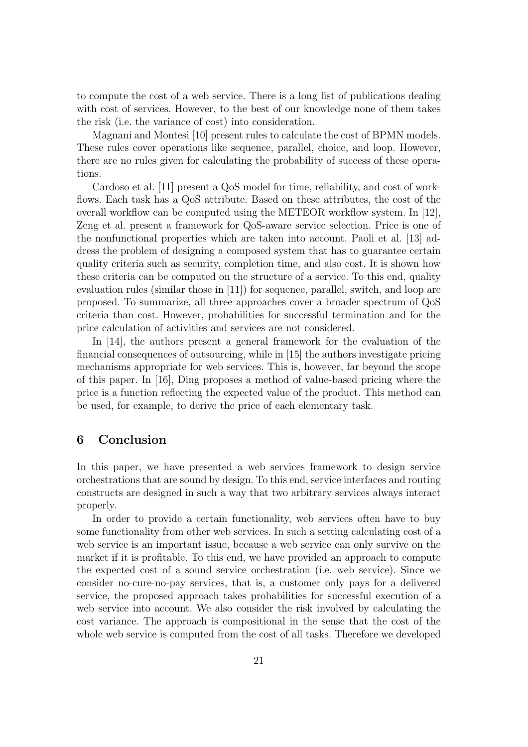to compute the cost of a web service. There is a long list of publications dealing with cost of services. However, to the best of our knowledge none of them takes the risk (i.e. the variance of cost) into consideration.

Magnani and Montesi [10] present rules to calculate the cost of BPMN models. These rules cover operations like sequence, parallel, choice, and loop. However, there are no rules given for calculating the probability of success of these operations.

Cardoso et al. [11] present a QoS model for time, reliability, and cost of workflows. Each task has a QoS attribute. Based on these attributes, the cost of the overall workflow can be computed using the METEOR workflow system. In [12], Zeng et al. present a framework for QoS-aware service selection. Price is one of the nonfunctional properties which are taken into account. Paoli et al. [13] address the problem of designing a composed system that has to guarantee certain quality criteria such as security, completion time, and also cost. It is shown how these criteria can be computed on the structure of a service. To this end, quality evaluation rules (similar those in [11]) for sequence, parallel, switch, and loop are proposed. To summarize, all three approaches cover a broader spectrum of QoS criteria than cost. However, probabilities for successful termination and for the price calculation of activities and services are not considered.

In [14], the authors present a general framework for the evaluation of the financial consequences of outsourcing, while in [15] the authors investigate pricing mechanisms appropriate for web services. This is, however, far beyond the scope of this paper. In [16], Ding proposes a method of value-based pricing where the price is a function reflecting the expected value of the product. This method can be used, for example, to derive the price of each elementary task.

### 6 Conclusion

In this paper, we have presented a web services framework to design service orchestrations that are sound by design. To this end, service interfaces and routing constructs are designed in such a way that two arbitrary services always interact properly.

In order to provide a certain functionality, web services often have to buy some functionality from other web services. In such a setting calculating cost of a web service is an important issue, because a web service can only survive on the market if it is profitable. To this end, we have provided an approach to compute the expected cost of a sound service orchestration (i.e. web service). Since we consider no-cure-no-pay services, that is, a customer only pays for a delivered service, the proposed approach takes probabilities for successful execution of a web service into account. We also consider the risk involved by calculating the cost variance. The approach is compositional in the sense that the cost of the whole web service is computed from the cost of all tasks. Therefore we developed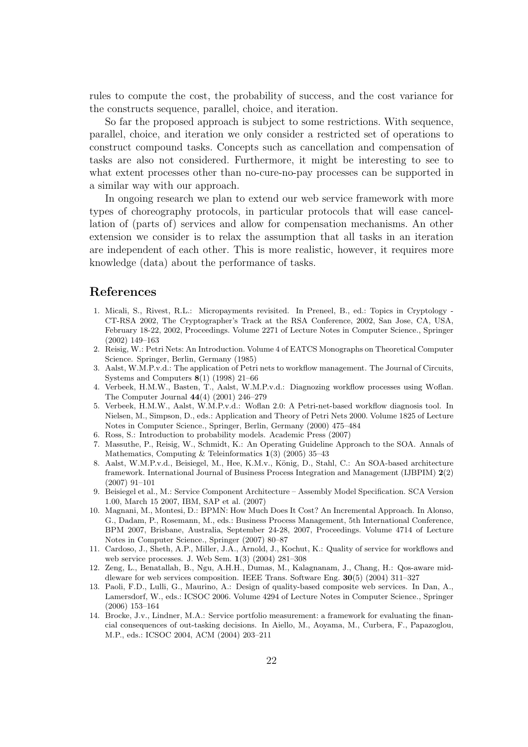rules to compute the cost, the probability of success, and the cost variance for the constructs sequence, parallel, choice, and iteration.

So far the proposed approach is subject to some restrictions. With sequence, parallel, choice, and iteration we only consider a restricted set of operations to construct compound tasks. Concepts such as cancellation and compensation of tasks are also not considered. Furthermore, it might be interesting to see to what extent processes other than no-cure-no-pay processes can be supported in a similar way with our approach.

In ongoing research we plan to extend our web service framework with more types of choreography protocols, in particular protocols that will ease cancellation of (parts of) services and allow for compensation mechanisms. An other extension we consider is to relax the assumption that all tasks in an iteration are independent of each other. This is more realistic, however, it requires more knowledge (data) about the performance of tasks.

### References

- 1. Micali, S., Rivest, R.L.: Micropayments revisited. In Preneel, B., ed.: Topics in Cryptology CT-RSA 2002, The Cryptographer's Track at the RSA Conference, 2002, San Jose, CA, USA, February 18-22, 2002, Proceedings. Volume 2271 of Lecture Notes in Computer Science., Springer (2002) 149–163
- 2. Reisig, W.: Petri Nets: An Introduction. Volume 4 of EATCS Monographs on Theoretical Computer Science. Springer, Berlin, Germany (1985)
- 3. Aalst, W.M.P.v.d.: The application of Petri nets to workflow management. The Journal of Circuits, Systems and Computers 8(1) (1998) 21–66
- 4. Verbeek, H.M.W., Basten, T., Aalst, W.M.P.v.d.: Diagnozing workflow processes using Woflan. The Computer Journal 44(4) (2001) 246–279
- 5. Verbeek, H.M.W., Aalst, W.M.P.v.d.: Woflan 2.0: A Petri-net-based workflow diagnosis tool. In Nielsen, M., Simpson, D., eds.: Application and Theory of Petri Nets 2000. Volume 1825 of Lecture Notes in Computer Science., Springer, Berlin, Germany (2000) 475–484
- 6. Ross, S.: Introduction to probability models. Academic Press (2007)
- 7. Massuthe, P., Reisig, W., Schmidt, K.: An Operating Guideline Approach to the SOA. Annals of Mathematics, Computing & Teleinformatics  $1(3)$  (2005) 35-43
- 8. Aalst, W.M.P.v.d., Beisiegel, M., Hee, K.M.v., König, D., Stahl, C.: An SOA-based architecture framework. International Journal of Business Process Integration and Management (IJBPIM) 2(2) (2007) 91–101
- 9. Beisiegel et al., M.: Service Component Architecture Assembly Model Specification. SCA Version 1.00, March 15 2007, IBM, SAP et al. (2007)
- 10. Magnani, M., Montesi, D.: BPMN: How Much Does It Cost? An Incremental Approach. In Alonso, G., Dadam, P., Rosemann, M., eds.: Business Process Management, 5th International Conference, BPM 2007, Brisbane, Australia, September 24-28, 2007, Proceedings. Volume 4714 of Lecture Notes in Computer Science., Springer (2007) 80–87
- 11. Cardoso, J., Sheth, A.P., Miller, J.A., Arnold, J., Kochut, K.: Quality of service for workflows and web service processes. J. Web Sem. 1(3) (2004) 281–308
- 12. Zeng, L., Benatallah, B., Ngu, A.H.H., Dumas, M., Kalagnanam, J., Chang, H.: Qos-aware middleware for web services composition. IEEE Trans. Software Eng. 30(5) (2004) 311–327
- 13. Paoli, F.D., Lulli, G., Maurino, A.: Design of quality-based composite web services. In Dan, A., Lamersdorf, W., eds.: ICSOC 2006. Volume 4294 of Lecture Notes in Computer Science., Springer (2006) 153–164
- 14. Brocke, J.v., Lindner, M.A.: Service portfolio measurement: a framework for evaluating the financial consequences of out-tasking decisions. In Aiello, M., Aoyama, M., Curbera, F., Papazoglou, M.P., eds.: ICSOC 2004, ACM (2004) 203–211